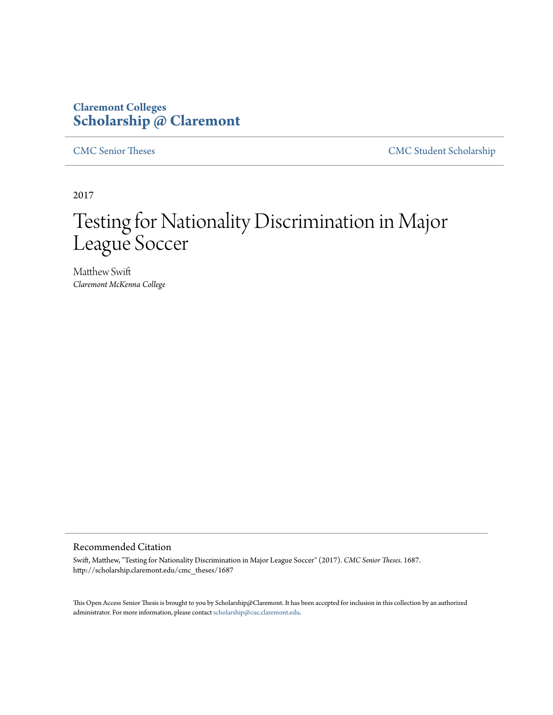### **Claremont Colleges [Scholarship @ Claremont](http://scholarship.claremont.edu)**

[CMC Senior Theses](http://scholarship.claremont.edu/cmc_theses) [CMC Student Scholarship](http://scholarship.claremont.edu/cmc_student)

2017

# Testing for Nationality Discrimination in Major League Soccer

Matthew Swift *Claremont McKenna College*

#### Recommended Citation

Swift, Matthew, "Testing for Nationality Discrimination in Major League Soccer" (2017). *CMC Senior Theses*. 1687. http://scholarship.claremont.edu/cmc\_theses/1687

This Open Access Senior Thesis is brought to you by Scholarship@Claremont. It has been accepted for inclusion in this collection by an authorized administrator. For more information, please contact [scholarship@cuc.claremont.edu.](mailto:scholarship@cuc.claremont.edu)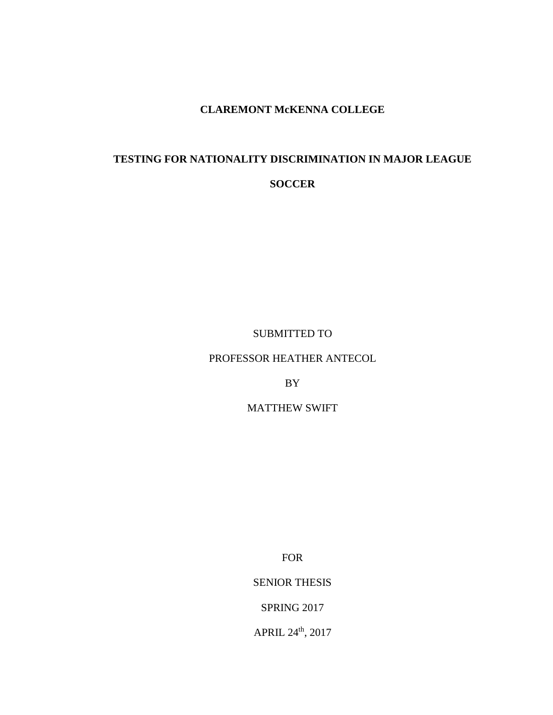### **CLAREMONT McKENNA COLLEGE**

## **TESTING FOR NATIONALITY DISCRIMINATION IN MAJOR LEAGUE SOCCER**

SUBMITTED TO

PROFESSOR HEATHER ANTECOL

BY

MATTHEW SWIFT

FOR

SENIOR THESIS

SPRING 2017

APRIL 24th, 2017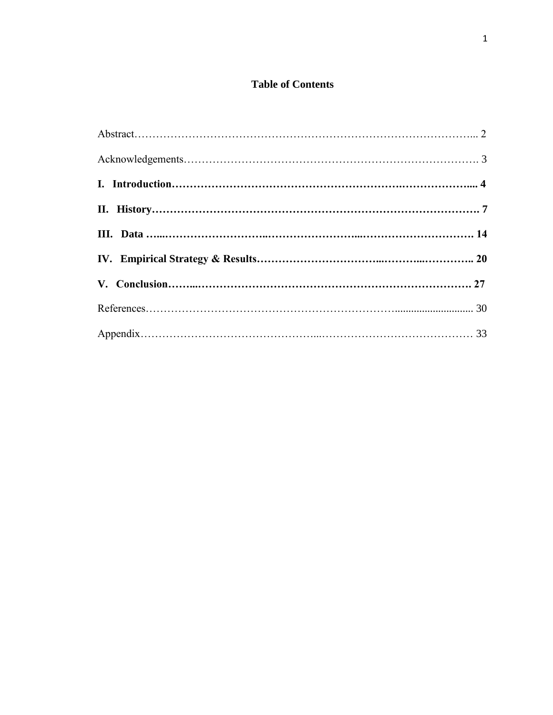#### **Table of Contents**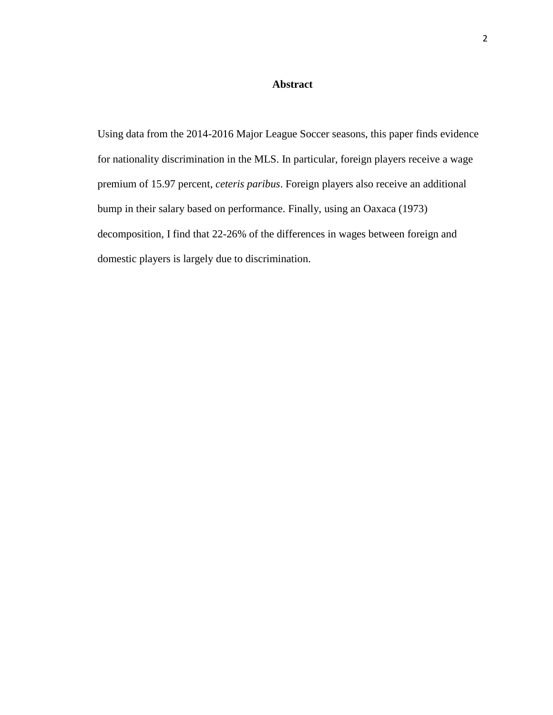#### **Abstract**

Using data from the 2014-2016 Major League Soccer seasons, this paper finds evidence for nationality discrimination in the MLS. In particular, foreign players receive a wage premium of 15.97 percent, *ceteris paribus*. Foreign players also receive an additional bump in their salary based on performance. Finally, using an Oaxaca (1973) decomposition, I find that 22-26% of the differences in wages between foreign and domestic players is largely due to discrimination.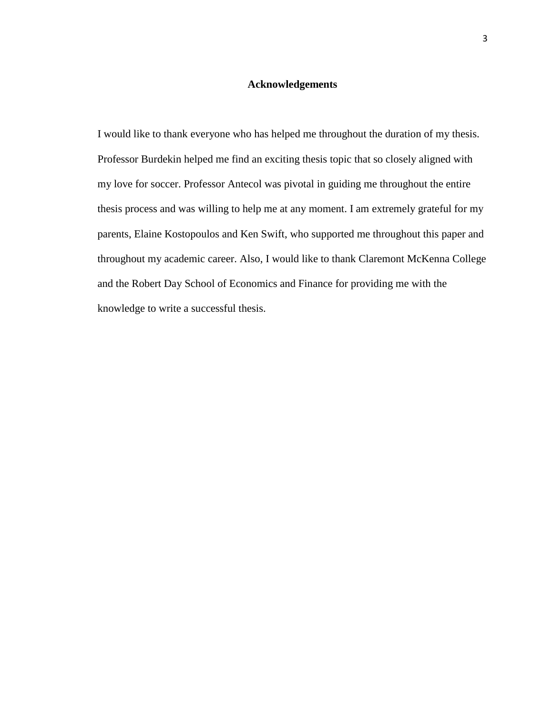#### **Acknowledgements**

I would like to thank everyone who has helped me throughout the duration of my thesis. Professor Burdekin helped me find an exciting thesis topic that so closely aligned with my love for soccer. Professor Antecol was pivotal in guiding me throughout the entire thesis process and was willing to help me at any moment. I am extremely grateful for my parents, Elaine Kostopoulos and Ken Swift, who supported me throughout this paper and throughout my academic career. Also, I would like to thank Claremont McKenna College and the Robert Day School of Economics and Finance for providing me with the knowledge to write a successful thesis.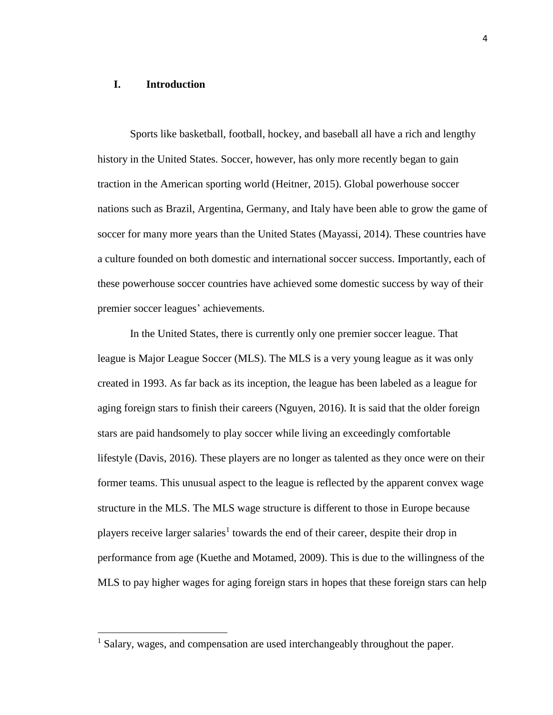#### **I. Introduction**

 $\overline{\phantom{a}}$ 

Sports like basketball, football, hockey, and baseball all have a rich and lengthy history in the United States. Soccer, however, has only more recently began to gain traction in the American sporting world (Heitner, 2015). Global powerhouse soccer nations such as Brazil, Argentina, Germany, and Italy have been able to grow the game of soccer for many more years than the United States (Mayassi, 2014). These countries have a culture founded on both domestic and international soccer success. Importantly, each of these powerhouse soccer countries have achieved some domestic success by way of their premier soccer leagues' achievements.

In the United States, there is currently only one premier soccer league. That league is Major League Soccer (MLS). The MLS is a very young league as it was only created in 1993. As far back as its inception, the league has been labeled as a league for aging foreign stars to finish their careers (Nguyen, 2016). It is said that the older foreign stars are paid handsomely to play soccer while living an exceedingly comfortable lifestyle (Davis, 2016). These players are no longer as talented as they once were on their former teams. This unusual aspect to the league is reflected by the apparent convex wage structure in the MLS. The MLS wage structure is different to those in Europe because players receive larger salaries<sup>1</sup> towards the end of their career, despite their drop in performance from age (Kuethe and Motamed, 2009). This is due to the willingness of the MLS to pay higher wages for aging foreign stars in hopes that these foreign stars can help

<sup>&</sup>lt;sup>1</sup> Salary, wages, and compensation are used interchangeably throughout the paper.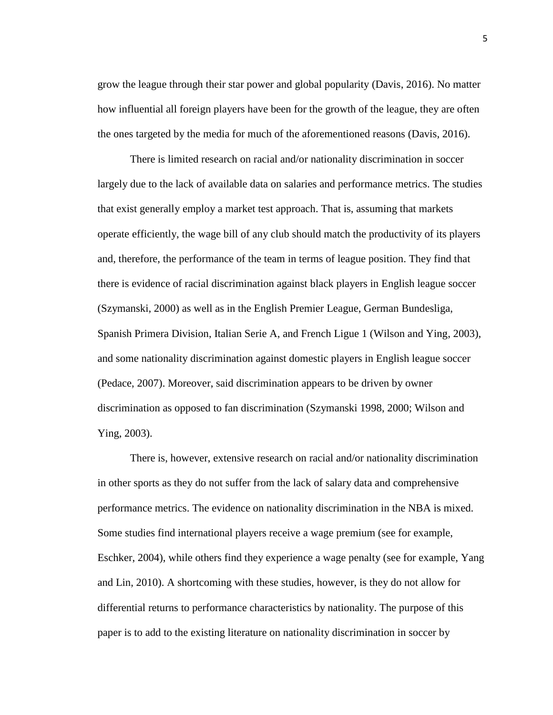grow the league through their star power and global popularity (Davis, 2016). No matter how influential all foreign players have been for the growth of the league, they are often the ones targeted by the media for much of the aforementioned reasons (Davis, 2016).

There is limited research on racial and/or nationality discrimination in soccer largely due to the lack of available data on salaries and performance metrics. The studies that exist generally employ a market test approach. That is, assuming that markets operate efficiently, the wage bill of any club should match the productivity of its players and, therefore, the performance of the team in terms of league position. They find that there is evidence of racial discrimination against black players in English league soccer (Szymanski, 2000) as well as in the English Premier League, German Bundesliga, Spanish Primera Division, Italian Serie A, and French Ligue 1 (Wilson and Ying, 2003), and some nationality discrimination against domestic players in English league soccer (Pedace, 2007). Moreover, said discrimination appears to be driven by owner discrimination as opposed to fan discrimination (Szymanski 1998, 2000; Wilson and Ying, 2003).

There is, however, extensive research on racial and/or nationality discrimination in other sports as they do not suffer from the lack of salary data and comprehensive performance metrics. The evidence on nationality discrimination in the NBA is mixed. Some studies find international players receive a wage premium (see for example, Eschker, 2004), while others find they experience a wage penalty (see for example, Yang and Lin, 2010). A shortcoming with these studies, however, is they do not allow for differential returns to performance characteristics by nationality. The purpose of this paper is to add to the existing literature on nationality discrimination in soccer by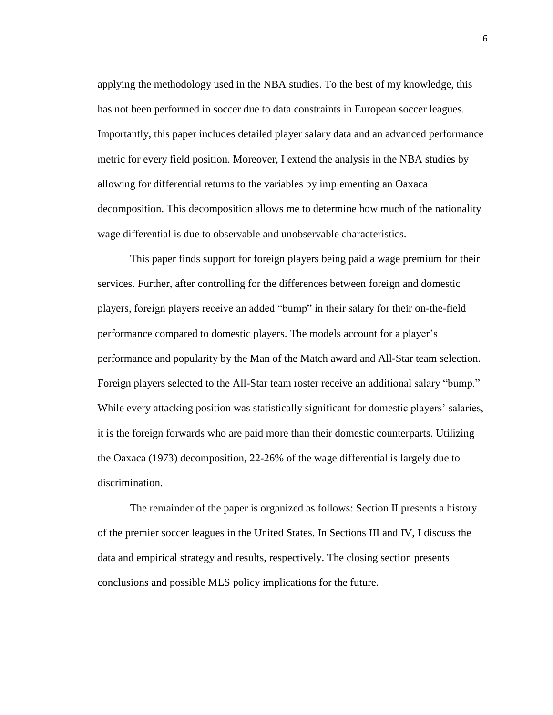applying the methodology used in the NBA studies. To the best of my knowledge, this has not been performed in soccer due to data constraints in European soccer leagues. Importantly, this paper includes detailed player salary data and an advanced performance metric for every field position. Moreover, I extend the analysis in the NBA studies by allowing for differential returns to the variables by implementing an Oaxaca decomposition. This decomposition allows me to determine how much of the nationality wage differential is due to observable and unobservable characteristics.

This paper finds support for foreign players being paid a wage premium for their services. Further, after controlling for the differences between foreign and domestic players, foreign players receive an added "bump" in their salary for their on-the-field performance compared to domestic players. The models account for a player's performance and popularity by the Man of the Match award and All-Star team selection. Foreign players selected to the All-Star team roster receive an additional salary "bump." While every attacking position was statistically significant for domestic players' salaries, it is the foreign forwards who are paid more than their domestic counterparts. Utilizing the Oaxaca (1973) decomposition, 22-26% of the wage differential is largely due to discrimination.

The remainder of the paper is organized as follows: Section II presents a history of the premier soccer leagues in the United States. In Sections III and IV, I discuss the data and empirical strategy and results, respectively. The closing section presents conclusions and possible MLS policy implications for the future.

6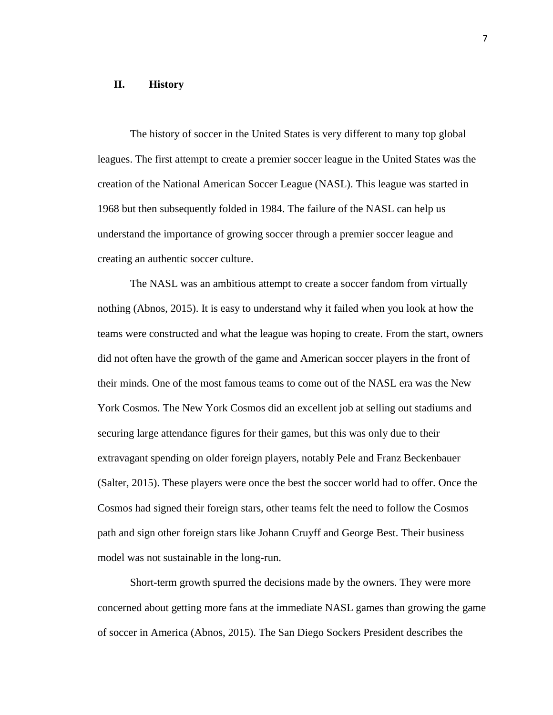#### **II. History**

The history of soccer in the United States is very different to many top global leagues. The first attempt to create a premier soccer league in the United States was the creation of the National American Soccer League (NASL). This league was started in 1968 but then subsequently folded in 1984. The failure of the NASL can help us understand the importance of growing soccer through a premier soccer league and creating an authentic soccer culture.

The NASL was an ambitious attempt to create a soccer fandom from virtually nothing (Abnos, 2015). It is easy to understand why it failed when you look at how the teams were constructed and what the league was hoping to create. From the start, owners did not often have the growth of the game and American soccer players in the front of their minds. One of the most famous teams to come out of the NASL era was the New York Cosmos. The New York Cosmos did an excellent job at selling out stadiums and securing large attendance figures for their games, but this was only due to their extravagant spending on older foreign players, notably Pele and Franz Beckenbauer (Salter, 2015). These players were once the best the soccer world had to offer. Once the Cosmos had signed their foreign stars, other teams felt the need to follow the Cosmos path and sign other foreign stars like Johann Cruyff and George Best. Their business model was not sustainable in the long-run.

Short-term growth spurred the decisions made by the owners. They were more concerned about getting more fans at the immediate NASL games than growing the game of soccer in America (Abnos, 2015). The San Diego Sockers President describes the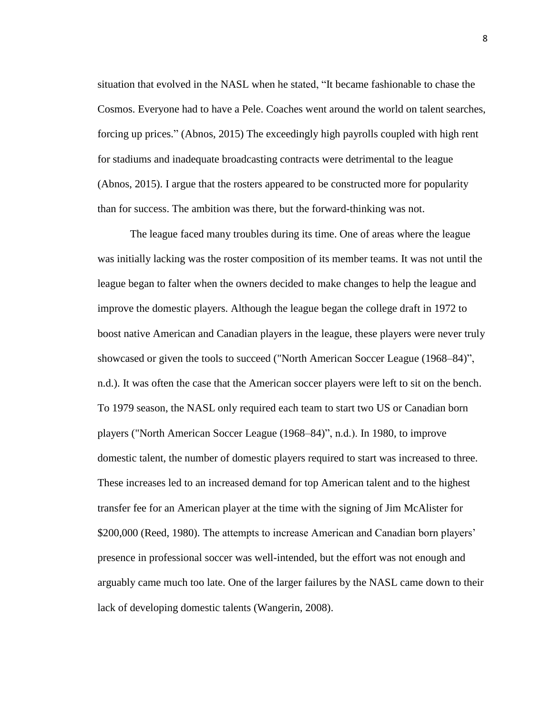situation that evolved in the NASL when he stated, "It became fashionable to chase the Cosmos. Everyone had to have a Pele. Coaches went around the world on talent searches, forcing up prices." (Abnos, 2015) The exceedingly high payrolls coupled with high rent for stadiums and inadequate broadcasting contracts were detrimental to the league (Abnos, 2015). I argue that the rosters appeared to be constructed more for popularity than for success. The ambition was there, but the forward-thinking was not.

The league faced many troubles during its time. One of areas where the league was initially lacking was the roster composition of its member teams. It was not until the league began to falter when the owners decided to make changes to help the league and improve the domestic players. Although the league began the college draft in 1972 to boost native American and Canadian players in the league, these players were never truly showcased or given the tools to succeed ("North American Soccer League (1968–84)", n.d.). It was often the case that the American soccer players were left to sit on the bench. To 1979 season, the NASL only required each team to start two US or Canadian born players ("North American Soccer League (1968–84)", n.d.). In 1980, to improve domestic talent, the number of domestic players required to start was increased to three. These increases led to an increased demand for top American talent and to the highest transfer fee for an American player at the time with the signing of Jim McAlister for \$200,000 (Reed, 1980). The attempts to increase American and Canadian born players' presence in professional soccer was well-intended, but the effort was not enough and arguably came much too late. One of the larger failures by the NASL came down to their lack of developing domestic talents (Wangerin, 2008).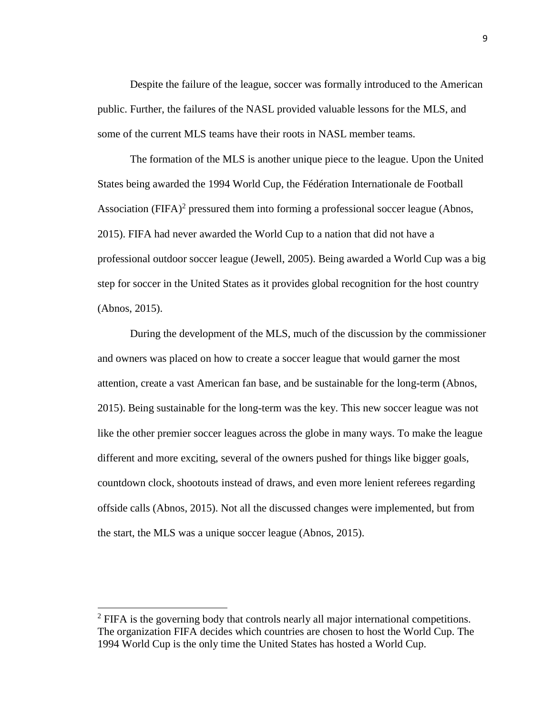Despite the failure of the league, soccer was formally introduced to the American public. Further, the failures of the NASL provided valuable lessons for the MLS, and some of the current MLS teams have their roots in NASL member teams.

The formation of the MLS is another unique piece to the league. Upon the United States being awarded the 1994 World Cup, the Fédération Internationale de Football Association (FIFA)<sup>2</sup> pressured them into forming a professional soccer league (Abnos, 2015). FIFA had never awarded the World Cup to a nation that did not have a professional outdoor soccer league (Jewell, 2005). Being awarded a World Cup was a big step for soccer in the United States as it provides global recognition for the host country (Abnos, 2015).

During the development of the MLS, much of the discussion by the commissioner and owners was placed on how to create a soccer league that would garner the most attention, create a vast American fan base, and be sustainable for the long-term (Abnos, 2015). Being sustainable for the long-term was the key. This new soccer league was not like the other premier soccer leagues across the globe in many ways. To make the league different and more exciting, several of the owners pushed for things like bigger goals, countdown clock, shootouts instead of draws, and even more lenient referees regarding offside calls (Abnos, 2015). Not all the discussed changes were implemented, but from the start, the MLS was a unique soccer league (Abnos, 2015).

 $\overline{a}$ 

 $<sup>2</sup>$  FIFA is the governing body that controls nearly all major international competitions.</sup> The organization FIFA decides which countries are chosen to host the World Cup. The 1994 World Cup is the only time the United States has hosted a World Cup.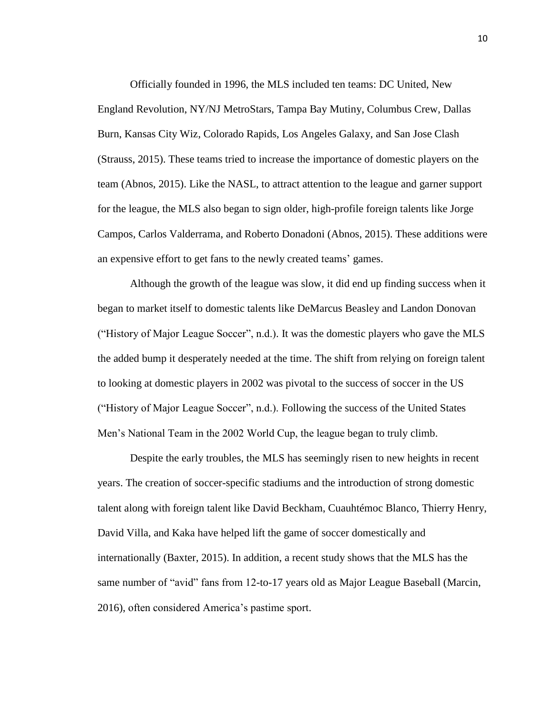Officially founded in 1996, the MLS included ten teams: DC United, New England Revolution, NY/NJ MetroStars, Tampa Bay Mutiny, Columbus Crew, Dallas Burn, Kansas City Wiz, Colorado Rapids, Los Angeles Galaxy, and San Jose Clash (Strauss, 2015). These teams tried to increase the importance of domestic players on the team (Abnos, 2015). Like the NASL, to attract attention to the league and garner support for the league, the MLS also began to sign older, high-profile foreign talents like Jorge Campos, Carlos Valderrama, and Roberto Donadoni (Abnos, 2015). These additions were an expensive effort to get fans to the newly created teams' games.

Although the growth of the league was slow, it did end up finding success when it began to market itself to domestic talents like DeMarcus Beasley and Landon Donovan ("History of Major League Soccer", n.d.). It was the domestic players who gave the MLS the added bump it desperately needed at the time. The shift from relying on foreign talent to looking at domestic players in 2002 was pivotal to the success of soccer in the US ("History of Major League Soccer", n.d.). Following the success of the United States Men's National Team in the 2002 World Cup, the league began to truly climb.

Despite the early troubles, the MLS has seemingly risen to new heights in recent years. The creation of soccer-specific stadiums and the introduction of strong domestic talent along with foreign talent like David Beckham, Cuauhtémoc Blanco, Thierry Henry, David Villa, and Kaka have helped lift the game of soccer domestically and internationally (Baxter, 2015). In addition, a recent study shows that the MLS has the same number of "avid" fans from 12-to-17 years old as Major League Baseball (Marcin, 2016), often considered America's pastime sport.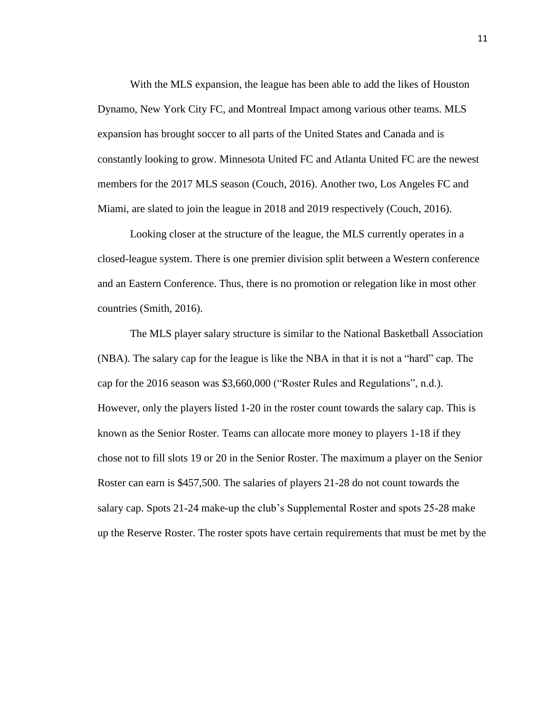With the MLS expansion, the league has been able to add the likes of Houston Dynamo, New York City FC, and Montreal Impact among various other teams. MLS expansion has brought soccer to all parts of the United States and Canada and is constantly looking to grow. Minnesota United FC and Atlanta United FC are the newest members for the 2017 MLS season (Couch, 2016). Another two, Los Angeles FC and Miami, are slated to join the league in 2018 and 2019 respectively (Couch, 2016).

Looking closer at the structure of the league, the MLS currently operates in a closed-league system. There is one premier division split between a Western conference and an Eastern Conference. Thus, there is no promotion or relegation like in most other countries (Smith, 2016).

The MLS player salary structure is similar to the National Basketball Association (NBA). The salary cap for the league is like the NBA in that it is not a "hard" cap. The cap for the 2016 season was \$3,660,000 ("Roster Rules and Regulations", n.d.). However, only the players listed 1-20 in the roster count towards the salary cap. This is known as the Senior Roster. Teams can allocate more money to players 1-18 if they chose not to fill slots 19 or 20 in the Senior Roster. The maximum a player on the Senior Roster can earn is \$457,500. The salaries of players 21-28 do not count towards the salary cap. Spots 21-24 make-up the club's Supplemental Roster and spots 25-28 make up the Reserve Roster. The roster spots have certain requirements that must be met by the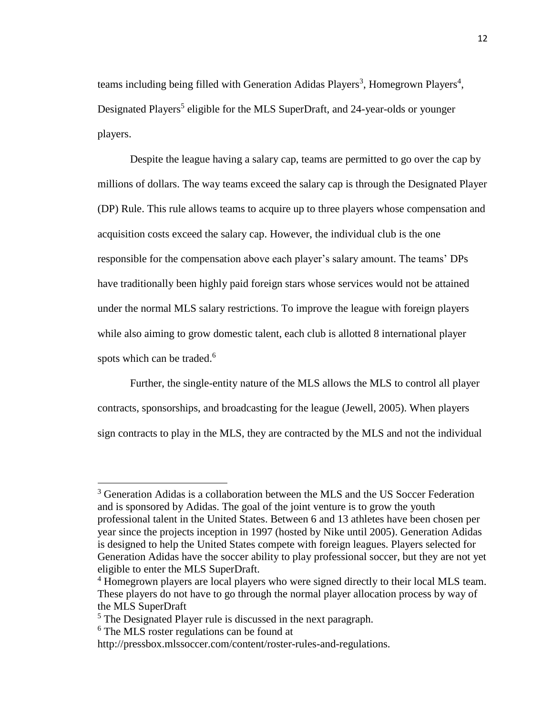teams including being filled with Generation Adidas Players<sup>3</sup>, Homegrown Players<sup>4</sup>, Designated Players<sup>5</sup> eligible for the MLS SuperDraft, and 24-year-olds or younger players.

Despite the league having a salary cap, teams are permitted to go over the cap by millions of dollars. The way teams exceed the salary cap is through the Designated Player (DP) Rule. This rule allows teams to acquire up to three players whose compensation and acquisition costs exceed the salary cap. However, the individual club is the one responsible for the compensation above each player's salary amount. The teams' DPs have traditionally been highly paid foreign stars whose services would not be attained under the normal MLS salary restrictions. To improve the league with foreign players while also aiming to grow domestic talent, each club is allotted 8 international player spots which can be traded.<sup>6</sup>

Further, the single-entity nature of the MLS allows the MLS to control all player contracts, sponsorships, and broadcasting for the league (Jewell, 2005). When players sign contracts to play in the MLS, they are contracted by the MLS and not the individual

 $\overline{a}$ 

<sup>&</sup>lt;sup>3</sup> Generation Adidas is a collaboration between the MLS and the US Soccer Federation and is sponsored by Adidas. The goal of the joint venture is to grow the youth professional talent in the United States. Between 6 and 13 athletes have been chosen per year since the projects inception in 1997 (hosted by Nike until 2005). Generation Adidas is designed to help the United States compete with foreign leagues. Players selected for Generation Adidas have the soccer ability to play professional soccer, but they are not yet eligible to enter the MLS SuperDraft.

<sup>&</sup>lt;sup>4</sup> Homegrown players are local players who were signed directly to their local MLS team. These players do not have to go through the normal player allocation process by way of the MLS SuperDraft

<sup>&</sup>lt;sup>5</sup> The Designated Player rule is discussed in the next paragraph.

<sup>6</sup> The MLS roster regulations can be found at

http://pressbox.mlssoccer.com/content/roster-rules-and-regulations.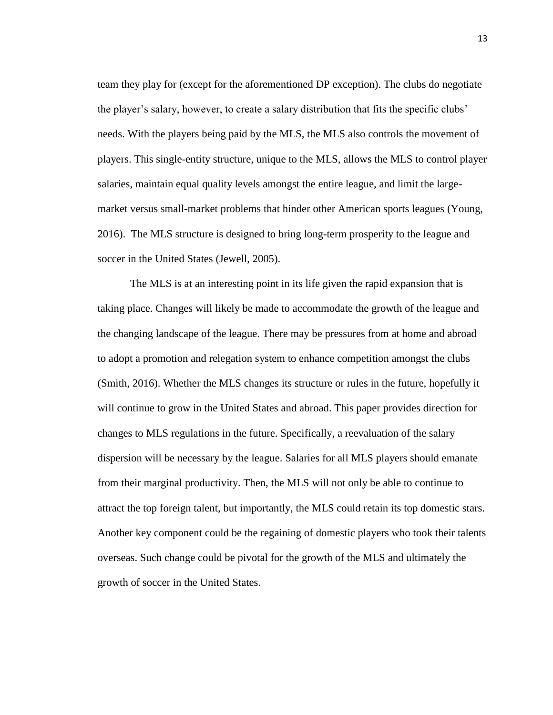team they play for (except for the aforementioned DP exception). The clubs do negotiate the player's salary, however, to create a salary distribution that fits the specific clubs' needs. With the players being paid by the MLS, the MLS also controls the movement of players. This single-entity structure, unique to the MLS, allows the MLS to control player salaries, maintain equal quality levels amongst the entire league, and limit the largemarket versus small-market problems that hinder other American sports leagues (Young, 2016). The MLS structure is designed to bring long-term prosperity to the league and soccer in the United States (Jewell, 2005).

The MLS is at an interesting point in its life given the rapid expansion that is taking place. Changes will likely be made to accommodate the growth of the league and the changing landscape of the league. There may be pressures from at home and abroad to adopt a promotion and relegation system to enhance competition amongst the clubs (Smith, 2016). Whether the MLS changes its structure or rules in the future, hopefully it will continue to grow in the United States and abroad. This paper provides direction for changes to MLS regulations in the future. Specifically, a reevaluation of the salary dispersion will be necessary by the league. Salaries for all MLS players should emanate from their marginal productivity. Then, the MLS will not only be able to continue to attract the top foreign talent, but importantly, the MLS could retain its top domestic stars. Another key component could be the regaining of domestic players who took their talents overseas. Such change could be pivotal for the growth of the MLS and ultimately the growth of soccer in the United States.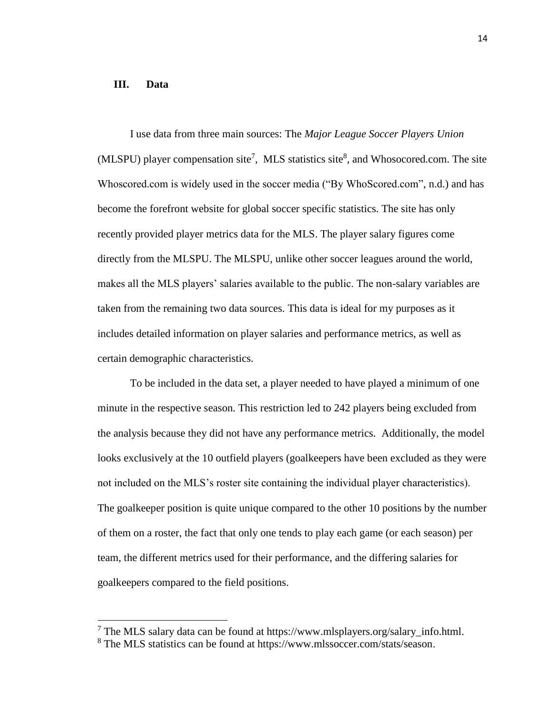#### **III. Data**

 $\overline{a}$ 

I use data from three main sources: The *Major League Soccer Players Union*  $(MLSPU)$  player compensation site<sup>7</sup>, MLS statistics site<sup>8</sup>, and Whosocored.com. The site Whoscored.com is widely used in the soccer media ("By WhoScored.com", n.d.) and has become the forefront website for global soccer specific statistics. The site has only recently provided player metrics data for the MLS. The player salary figures come directly from the MLSPU. The MLSPU, unlike other soccer leagues around the world, makes all the MLS players' salaries available to the public. The non-salary variables are taken from the remaining two data sources. This data is ideal for my purposes as it includes detailed information on player salaries and performance metrics, as well as certain demographic characteristics.

To be included in the data set, a player needed to have played a minimum of one minute in the respective season. This restriction led to 242 players being excluded from the analysis because they did not have any performance metrics. Additionally, the model looks exclusively at the 10 outfield players (goalkeepers have been excluded as they were not included on the MLS's roster site containing the individual player characteristics). The goalkeeper position is quite unique compared to the other 10 positions by the number of them on a roster, the fact that only one tends to play each game (or each season) per team, the different metrics used for their performance, and the differing salaries for goalkeepers compared to the field positions.

 $7$  The MLS salary data can be found at https://www.mlsplayers.org/salary info.html.

<sup>8</sup> The MLS statistics can be found at https://www.mlssoccer.com/stats/season.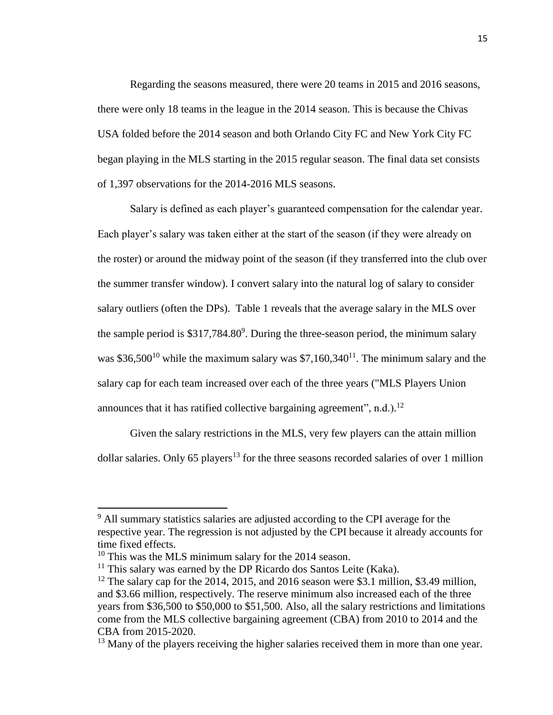Regarding the seasons measured, there were 20 teams in 2015 and 2016 seasons, there were only 18 teams in the league in the 2014 season. This is because the Chivas USA folded before the 2014 season and both Orlando City FC and New York City FC began playing in the MLS starting in the 2015 regular season. The final data set consists of 1,397 observations for the 2014-2016 MLS seasons.

Salary is defined as each player's guaranteed compensation for the calendar year. Each player's salary was taken either at the start of the season (if they were already on the roster) or around the midway point of the season (if they transferred into the club over the summer transfer window). I convert salary into the natural log of salary to consider salary outliers (often the DPs). Table 1 reveals that the average salary in the MLS over the sample period is  $$317,784.80^9$ . During the three-season period, the minimum salary was \$36,500<sup>10</sup> while the maximum salary was \$7,160,340<sup>11</sup>. The minimum salary and the salary cap for each team increased over each of the three years ("MLS Players Union announces that it has ratified collective bargaining agreement", n.d.).<sup>12</sup>

Given the salary restrictions in the MLS, very few players can the attain million dollar salaries. Only 65 players<sup>13</sup> for the three seasons recorded salaries of over 1 million

 $\overline{\phantom{a}}$ 

 $9$  All summary statistics salaries are adjusted according to the CPI average for the respective year. The regression is not adjusted by the CPI because it already accounts for time fixed effects.

<sup>&</sup>lt;sup>10</sup> This was the MLS minimum salary for the 2014 season.

 $11$  This salary was earned by the DP Ricardo dos Santos Leite (Kaka).

 $12$  The salary cap for the 2014, 2015, and 2016 season were \$3.1 million, \$3.49 million, and \$3.66 million, respectively. The reserve minimum also increased each of the three years from \$36,500 to \$50,000 to \$51,500. Also, all the salary restrictions and limitations come from the MLS collective bargaining agreement (CBA) from 2010 to 2014 and the CBA from 2015-2020.

 $13$  Many of the players receiving the higher salaries received them in more than one year.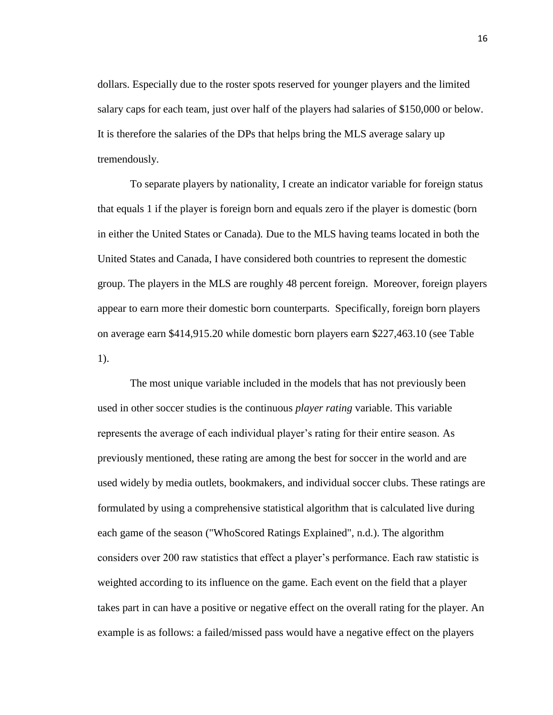dollars. Especially due to the roster spots reserved for younger players and the limited salary caps for each team, just over half of the players had salaries of \$150,000 or below. It is therefore the salaries of the DPs that helps bring the MLS average salary up tremendously.

To separate players by nationality, I create an indicator variable for foreign status that equals 1 if the player is foreign born and equals zero if the player is domestic (born in either the United States or Canada)*.* Due to the MLS having teams located in both the United States and Canada, I have considered both countries to represent the domestic group. The players in the MLS are roughly 48 percent foreign. Moreover, foreign players appear to earn more their domestic born counterparts. Specifically, foreign born players on average earn \$414,915.20 while domestic born players earn \$227,463.10 (see Table 1).

The most unique variable included in the models that has not previously been used in other soccer studies is the continuous *player rating* variable. This variable represents the average of each individual player's rating for their entire season. As previously mentioned, these rating are among the best for soccer in the world and are used widely by media outlets, bookmakers, and individual soccer clubs. These ratings are formulated by using a comprehensive statistical algorithm that is calculated live during each game of the season ("WhoScored Ratings Explained", n.d.). The algorithm considers over 200 raw statistics that effect a player's performance. Each raw statistic is weighted according to its influence on the game. Each event on the field that a player takes part in can have a positive or negative effect on the overall rating for the player. An example is as follows: a failed/missed pass would have a negative effect on the players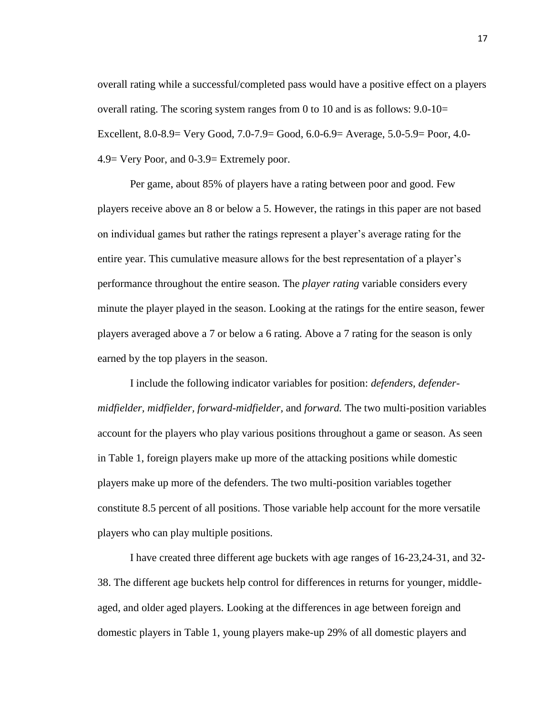overall rating while a successful/completed pass would have a positive effect on a players overall rating. The scoring system ranges from 0 to 10 and is as follows: 9.0-10= Excellent, 8.0-8.9= Very Good, 7.0-7.9= Good, 6.0-6.9= Average, 5.0-5.9= Poor, 4.0- 4.9= Very Poor, and 0-3.9= Extremely poor.

Per game, about 85% of players have a rating between poor and good. Few players receive above an 8 or below a 5. However, the ratings in this paper are not based on individual games but rather the ratings represent a player's average rating for the entire year. This cumulative measure allows for the best representation of a player's performance throughout the entire season. The *player rating* variable considers every minute the player played in the season. Looking at the ratings for the entire season, fewer players averaged above a 7 or below a 6 rating. Above a 7 rating for the season is only earned by the top players in the season.

I include the following indicator variables for position: *defenders, defendermidfielder, midfielder, forward-midfielder,* and *forward.* The two multi-position variables account for the players who play various positions throughout a game or season. As seen in Table 1, foreign players make up more of the attacking positions while domestic players make up more of the defenders. The two multi-position variables together constitute 8.5 percent of all positions. Those variable help account for the more versatile players who can play multiple positions.

I have created three different age buckets with age ranges of 16-23,24-31, and 32- 38. The different age buckets help control for differences in returns for younger, middleaged, and older aged players. Looking at the differences in age between foreign and domestic players in Table 1, young players make-up 29% of all domestic players and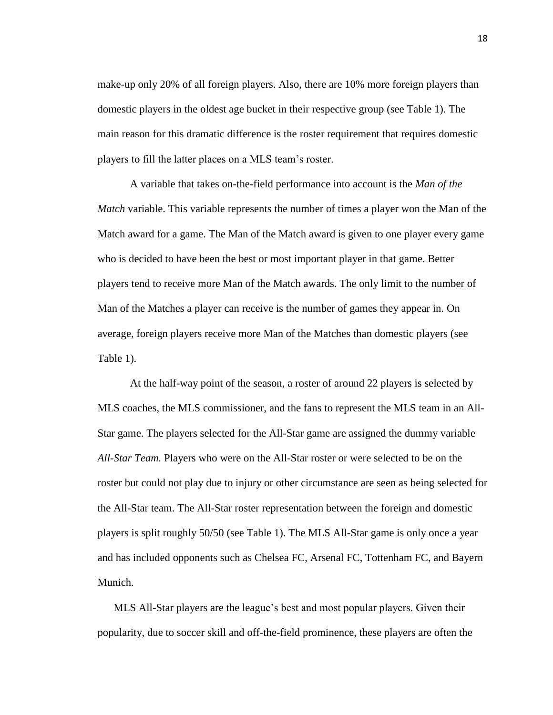make-up only 20% of all foreign players. Also, there are 10% more foreign players than domestic players in the oldest age bucket in their respective group (see Table 1). The main reason for this dramatic difference is the roster requirement that requires domestic players to fill the latter places on a MLS team's roster.

A variable that takes on-the-field performance into account is the *Man of the Match* variable. This variable represents the number of times a player won the Man of the Match award for a game. The Man of the Match award is given to one player every game who is decided to have been the best or most important player in that game. Better players tend to receive more Man of the Match awards. The only limit to the number of Man of the Matches a player can receive is the number of games they appear in. On average, foreign players receive more Man of the Matches than domestic players (see Table 1).

At the half-way point of the season, a roster of around 22 players is selected by MLS coaches, the MLS commissioner, and the fans to represent the MLS team in an All-Star game. The players selected for the All-Star game are assigned the dummy variable *All-Star Team.* Players who were on the All-Star roster or were selected to be on the roster but could not play due to injury or other circumstance are seen as being selected for the All-Star team. The All-Star roster representation between the foreign and domestic players is split roughly 50/50 (see Table 1). The MLS All-Star game is only once a year and has included opponents such as Chelsea FC, Arsenal FC, Tottenham FC, and Bayern Munich.

MLS All-Star players are the league's best and most popular players. Given their popularity, due to soccer skill and off-the-field prominence, these players are often the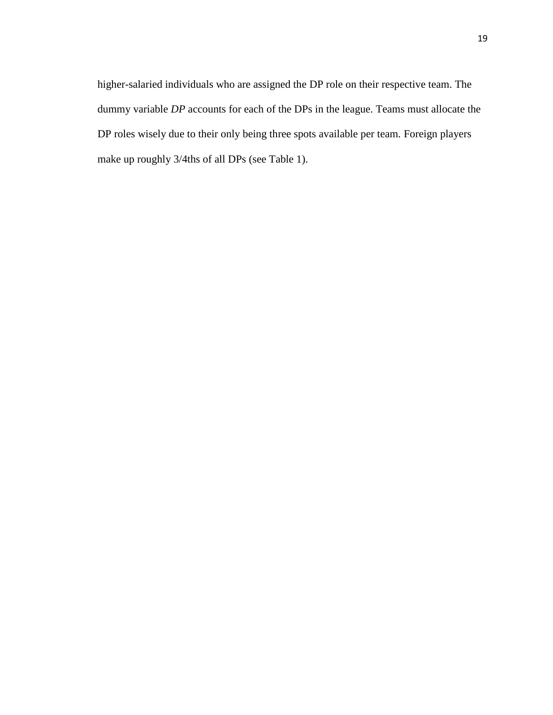higher-salaried individuals who are assigned the DP role on their respective team. The dummy variable *DP* accounts for each of the DPs in the league. Teams must allocate the DP roles wisely due to their only being three spots available per team. Foreign players make up roughly 3/4ths of all DPs (see Table 1).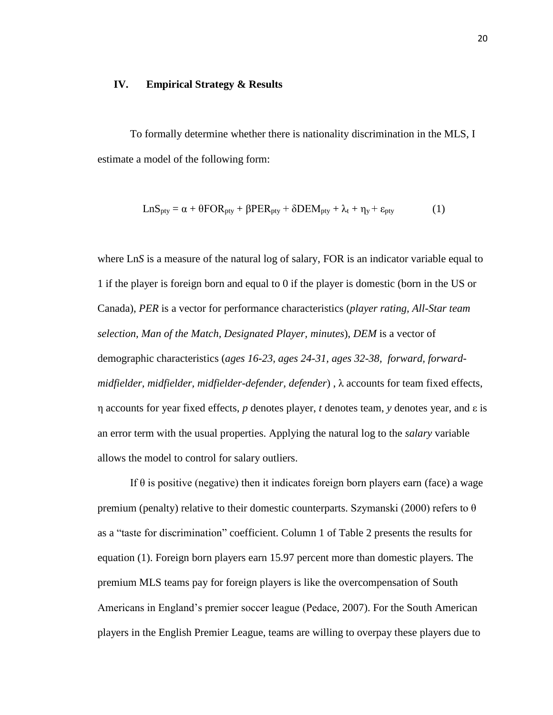#### **IV. Empirical Strategy & Results**

To formally determine whether there is nationality discrimination in the MLS, I estimate a model of the following form:

$$
LnS_{\text{pty}} = \alpha + \theta FOR_{\text{pty}} + \beta PER_{\text{pty}} + \delta DEM_{\text{pty}} + \lambda_t + \eta_y + \varepsilon_{\text{pty}}
$$
 (1)

where Ln*S* is a measure of the natural log of salary, FOR is an indicator variable equal to 1 if the player is foreign born and equal to 0 if the player is domestic (born in the US or Canada), *PER* is a vector for performance characteristics (*player rating, All-Star team selection, Man of the Match, Designated Player, minutes*), *DEM* is a vector of demographic characteristics (*ages 16-23, ages 24-31, ages 32-38, forward, forwardmidfielder, midfielder, midfielder-defender, defender*) , λ accounts for team fixed effects, η accounts for year fixed effects, *p* denotes player, *t* denotes team, *y* denotes year, and ε is an error term with the usual properties. Applying the natural log to the *salary* variable allows the model to control for salary outliers.

If  $\theta$  is positive (negative) then it indicates foreign born players earn (face) a wage premium (penalty) relative to their domestic counterparts. Szymanski (2000) refers to  $\theta$ as a "taste for discrimination" coefficient. Column 1 of Table 2 presents the results for equation (1). Foreign born players earn 15.97 percent more than domestic players. The premium MLS teams pay for foreign players is like the overcompensation of South Americans in England's premier soccer league (Pedace, 2007). For the South American players in the English Premier League, teams are willing to overpay these players due to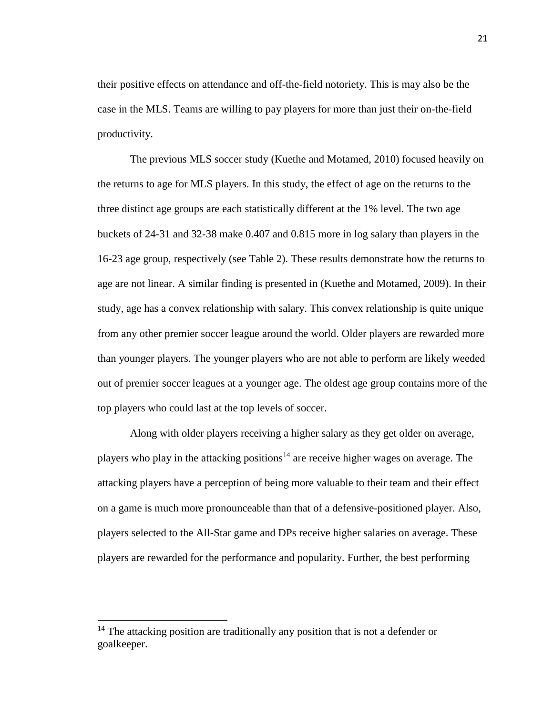their positive effects on attendance and off-the-field notoriety. This is may also be the case in the MLS. Teams are willing to pay players for more than just their on-the-field productivity.

The previous MLS soccer study (Kuethe and Motamed, 2010) focused heavily on the returns to age for MLS players. In this study, the effect of age on the returns to the three distinct age groups are each statistically different at the 1% level. The two age buckets of 24-31 and 32-38 make 0.407 and 0.815 more in log salary than players in the 16-23 age group, respectively (see Table 2). These results demonstrate how the returns to age are not linear. A similar finding is presented in (Kuethe and Motamed, 2009). In their study, age has a convex relationship with salary. This convex relationship is quite unique from any other premier soccer league around the world. Older players are rewarded more than younger players. The younger players who are not able to perform are likely weeded out of premier soccer leagues at a younger age. The oldest age group contains more of the top players who could last at the top levels of soccer.

Along with older players receiving a higher salary as they get older on average, players who play in the attacking positions<sup>14</sup> are receive higher wages on average. The attacking players have a perception of being more valuable to their team and their effect on a game is much more pronounceable than that of a defensive-positioned player. Also, players selected to the All-Star game and DPs receive higher salaries on average. These players are rewarded for the performance and popularity. Further, the best performing

 $\overline{a}$ 

<sup>&</sup>lt;sup>14</sup> The attacking position are traditionally any position that is not a defender or goalkeeper.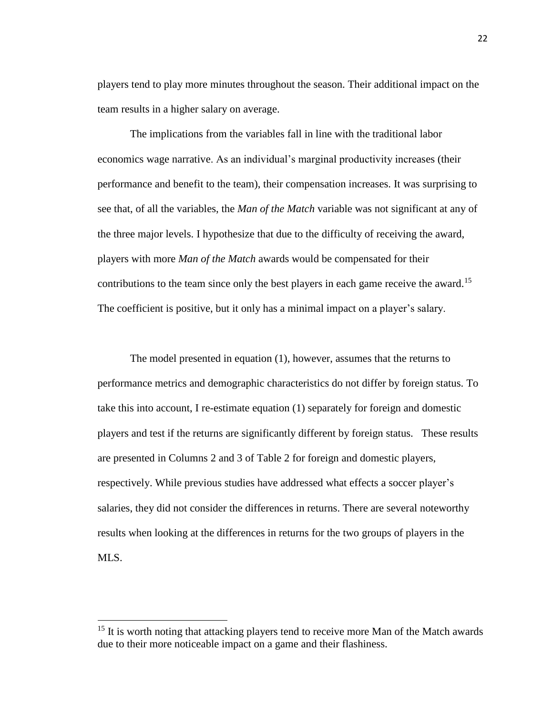players tend to play more minutes throughout the season. Their additional impact on the team results in a higher salary on average.

The implications from the variables fall in line with the traditional labor economics wage narrative. As an individual's marginal productivity increases (their performance and benefit to the team), their compensation increases. It was surprising to see that, of all the variables, the *Man of the Match* variable was not significant at any of the three major levels. I hypothesize that due to the difficulty of receiving the award, players with more *Man of the Match* awards would be compensated for their contributions to the team since only the best players in each game receive the award.<sup>15</sup> The coefficient is positive, but it only has a minimal impact on a player's salary.

The model presented in equation (1), however, assumes that the returns to performance metrics and demographic characteristics do not differ by foreign status. To take this into account, I re-estimate equation (1) separately for foreign and domestic players and test if the returns are significantly different by foreign status. These results are presented in Columns 2 and 3 of Table 2 for foreign and domestic players, respectively. While previous studies have addressed what effects a soccer player's salaries, they did not consider the differences in returns. There are several noteworthy results when looking at the differences in returns for the two groups of players in the MLS.

 $\overline{a}$ 

<sup>&</sup>lt;sup>15</sup> It is worth noting that attacking players tend to receive more Man of the Match awards due to their more noticeable impact on a game and their flashiness.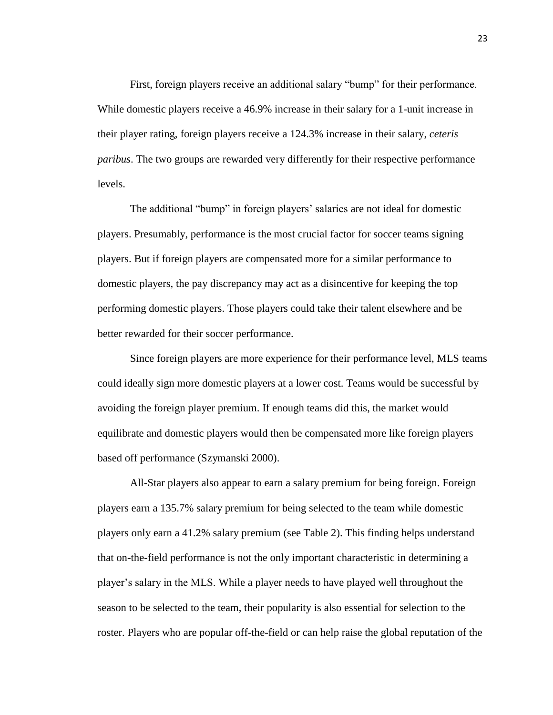First, foreign players receive an additional salary "bump" for their performance. While domestic players receive a 46.9% increase in their salary for a 1-unit increase in their player rating, foreign players receive a 124.3% increase in their salary, *ceteris paribus*. The two groups are rewarded very differently for their respective performance levels.

The additional "bump" in foreign players' salaries are not ideal for domestic players. Presumably, performance is the most crucial factor for soccer teams signing players. But if foreign players are compensated more for a similar performance to domestic players, the pay discrepancy may act as a disincentive for keeping the top performing domestic players. Those players could take their talent elsewhere and be better rewarded for their soccer performance.

Since foreign players are more experience for their performance level, MLS teams could ideally sign more domestic players at a lower cost. Teams would be successful by avoiding the foreign player premium. If enough teams did this, the market would equilibrate and domestic players would then be compensated more like foreign players based off performance (Szymanski 2000).

All-Star players also appear to earn a salary premium for being foreign. Foreign players earn a 135.7% salary premium for being selected to the team while domestic players only earn a 41.2% salary premium (see Table 2). This finding helps understand that on-the-field performance is not the only important characteristic in determining a player's salary in the MLS. While a player needs to have played well throughout the season to be selected to the team, their popularity is also essential for selection to the roster. Players who are popular off-the-field or can help raise the global reputation of the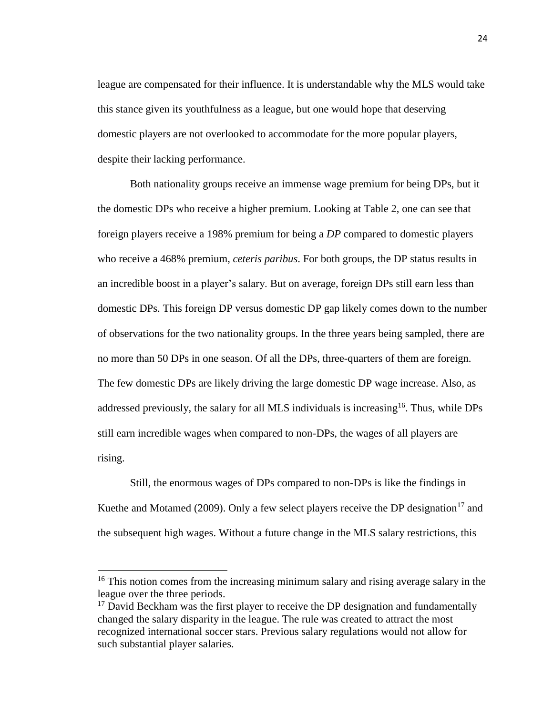league are compensated for their influence. It is understandable why the MLS would take this stance given its youthfulness as a league, but one would hope that deserving domestic players are not overlooked to accommodate for the more popular players, despite their lacking performance.

Both nationality groups receive an immense wage premium for being DPs, but it the domestic DPs who receive a higher premium. Looking at Table 2, one can see that foreign players receive a 198% premium for being a *DP* compared to domestic players who receive a 468% premium, *ceteris paribus*. For both groups, the DP status results in an incredible boost in a player's salary. But on average, foreign DPs still earn less than domestic DPs. This foreign DP versus domestic DP gap likely comes down to the number of observations for the two nationality groups. In the three years being sampled, there are no more than 50 DPs in one season. Of all the DPs, three-quarters of them are foreign. The few domestic DPs are likely driving the large domestic DP wage increase. Also, as addressed previously, the salary for all MLS individuals is increasing  $16$ . Thus, while DPs still earn incredible wages when compared to non-DPs, the wages of all players are rising.

Still, the enormous wages of DPs compared to non-DPs is like the findings in Kuethe and Motamed (2009). Only a few select players receive the DP designation<sup>17</sup> and the subsequent high wages. Without a future change in the MLS salary restrictions, this

 $\overline{\phantom{a}}$ 

 $16$  This notion comes from the increasing minimum salary and rising average salary in the league over the three periods.

 $17$  David Beckham was the first player to receive the DP designation and fundamentally changed the salary disparity in the league. The rule was created to attract the most recognized international soccer stars. Previous salary regulations would not allow for such substantial player salaries.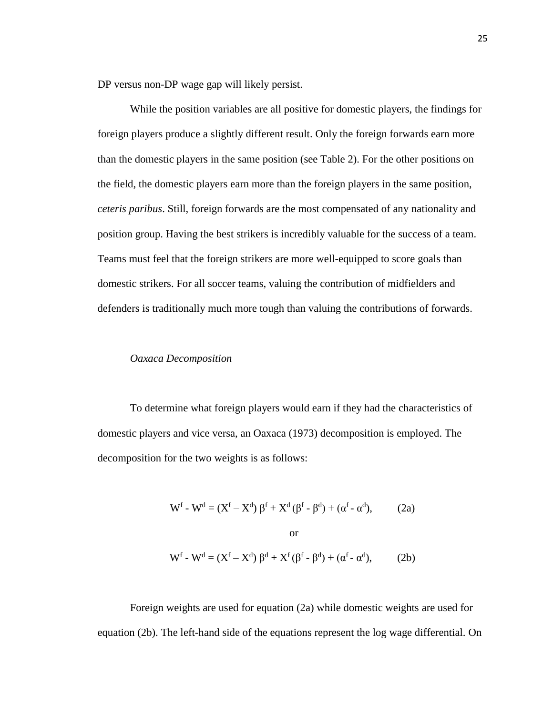DP versus non-DP wage gap will likely persist.

While the position variables are all positive for domestic players, the findings for foreign players produce a slightly different result. Only the foreign forwards earn more than the domestic players in the same position (see Table 2). For the other positions on the field, the domestic players earn more than the foreign players in the same position, *ceteris paribus*. Still, foreign forwards are the most compensated of any nationality and position group. Having the best strikers is incredibly valuable for the success of a team. Teams must feel that the foreign strikers are more well-equipped to score goals than domestic strikers. For all soccer teams, valuing the contribution of midfielders and defenders is traditionally much more tough than valuing the contributions of forwards.

#### *Oaxaca Decomposition*

To determine what foreign players would earn if they had the characteristics of domestic players and vice versa, an Oaxaca (1973) decomposition is employed. The decomposition for the two weights is as follows:

$$
W^{f} - W^{d} = (X^{f} - X^{d}) \beta^{f} + X^{d} (\beta^{f} - \beta^{d}) + (\alpha^{f} - \alpha^{d}),
$$
 (2a)  
or  

$$
W^{f} - W^{d} = (X^{f} - X^{d}) \beta^{d} + X^{f} (\beta^{f} - \beta^{d}) + (\alpha^{f} - \alpha^{d}),
$$
 (2b)

Foreign weights are used for equation (2a) while domestic weights are used for equation (2b). The left-hand side of the equations represent the log wage differential. On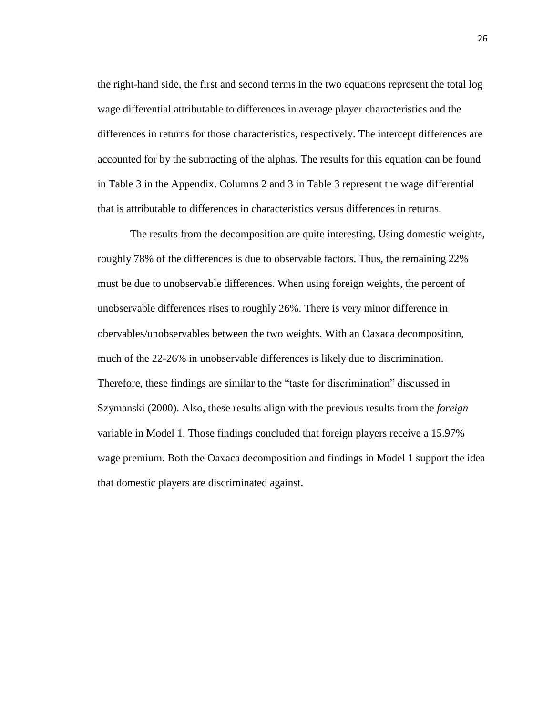the right-hand side, the first and second terms in the two equations represent the total log wage differential attributable to differences in average player characteristics and the differences in returns for those characteristics, respectively. The intercept differences are accounted for by the subtracting of the alphas. The results for this equation can be found in Table 3 in the Appendix. Columns 2 and 3 in Table 3 represent the wage differential that is attributable to differences in characteristics versus differences in returns.

The results from the decomposition are quite interesting. Using domestic weights, roughly 78% of the differences is due to observable factors. Thus, the remaining 22% must be due to unobservable differences. When using foreign weights, the percent of unobservable differences rises to roughly 26%. There is very minor difference in obervables/unobservables between the two weights. With an Oaxaca decomposition, much of the 22-26% in unobservable differences is likely due to discrimination. Therefore, these findings are similar to the "taste for discrimination" discussed in Szymanski (2000). Also, these results align with the previous results from the *foreign*  variable in Model 1. Those findings concluded that foreign players receive a 15.97% wage premium. Both the Oaxaca decomposition and findings in Model 1 support the idea that domestic players are discriminated against.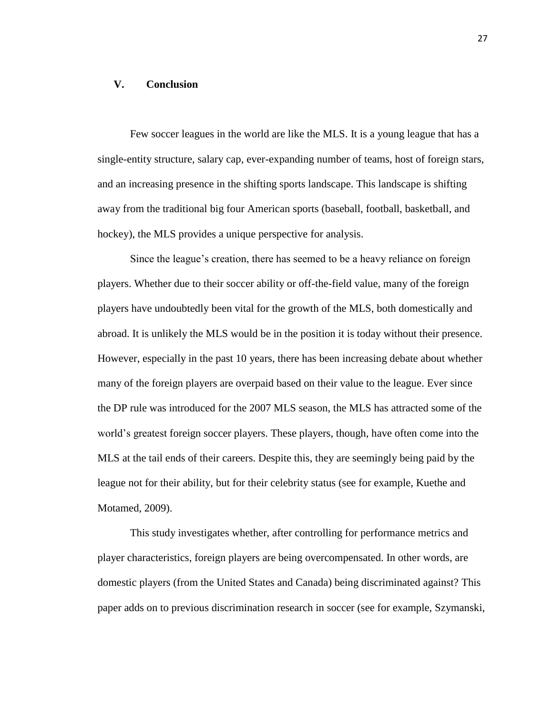#### **V. Conclusion**

Few soccer leagues in the world are like the MLS. It is a young league that has a single-entity structure, salary cap, ever-expanding number of teams, host of foreign stars, and an increasing presence in the shifting sports landscape. This landscape is shifting away from the traditional big four American sports (baseball, football, basketball, and hockey), the MLS provides a unique perspective for analysis.

Since the league's creation, there has seemed to be a heavy reliance on foreign players. Whether due to their soccer ability or off-the-field value, many of the foreign players have undoubtedly been vital for the growth of the MLS, both domestically and abroad. It is unlikely the MLS would be in the position it is today without their presence. However, especially in the past 10 years, there has been increasing debate about whether many of the foreign players are overpaid based on their value to the league. Ever since the DP rule was introduced for the 2007 MLS season, the MLS has attracted some of the world's greatest foreign soccer players. These players, though, have often come into the MLS at the tail ends of their careers. Despite this, they are seemingly being paid by the league not for their ability, but for their celebrity status (see for example, Kuethe and Motamed, 2009).

This study investigates whether, after controlling for performance metrics and player characteristics, foreign players are being overcompensated. In other words, are domestic players (from the United States and Canada) being discriminated against? This paper adds on to previous discrimination research in soccer (see for example, Szymanski,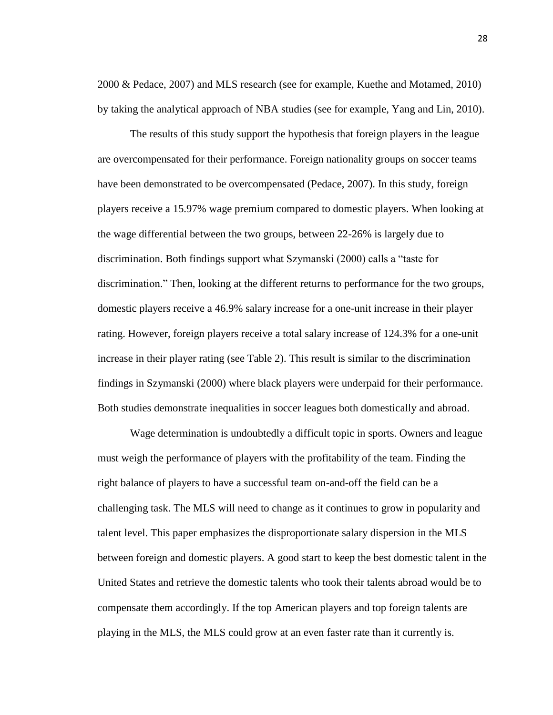2000 & Pedace, 2007) and MLS research (see for example, Kuethe and Motamed, 2010) by taking the analytical approach of NBA studies (see for example, Yang and Lin, 2010).

The results of this study support the hypothesis that foreign players in the league are overcompensated for their performance. Foreign nationality groups on soccer teams have been demonstrated to be overcompensated (Pedace, 2007). In this study, foreign players receive a 15.97% wage premium compared to domestic players. When looking at the wage differential between the two groups, between 22-26% is largely due to discrimination. Both findings support what Szymanski (2000) calls a "taste for discrimination." Then, looking at the different returns to performance for the two groups, domestic players receive a 46.9% salary increase for a one-unit increase in their player rating. However, foreign players receive a total salary increase of 124.3% for a one-unit increase in their player rating (see Table 2). This result is similar to the discrimination findings in Szymanski (2000) where black players were underpaid for their performance. Both studies demonstrate inequalities in soccer leagues both domestically and abroad.

Wage determination is undoubtedly a difficult topic in sports. Owners and league must weigh the performance of players with the profitability of the team. Finding the right balance of players to have a successful team on-and-off the field can be a challenging task. The MLS will need to change as it continues to grow in popularity and talent level. This paper emphasizes the disproportionate salary dispersion in the MLS between foreign and domestic players. A good start to keep the best domestic talent in the United States and retrieve the domestic talents who took their talents abroad would be to compensate them accordingly. If the top American players and top foreign talents are playing in the MLS, the MLS could grow at an even faster rate than it currently is.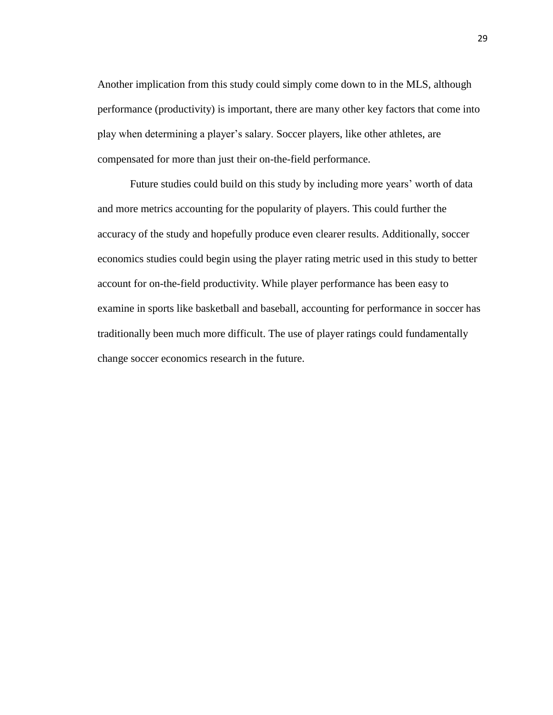Another implication from this study could simply come down to in the MLS, although performance (productivity) is important, there are many other key factors that come into play when determining a player's salary. Soccer players, like other athletes, are compensated for more than just their on-the-field performance.

Future studies could build on this study by including more years' worth of data and more metrics accounting for the popularity of players. This could further the accuracy of the study and hopefully produce even clearer results. Additionally, soccer economics studies could begin using the player rating metric used in this study to better account for on-the-field productivity. While player performance has been easy to examine in sports like basketball and baseball, accounting for performance in soccer has traditionally been much more difficult. The use of player ratings could fundamentally change soccer economics research in the future.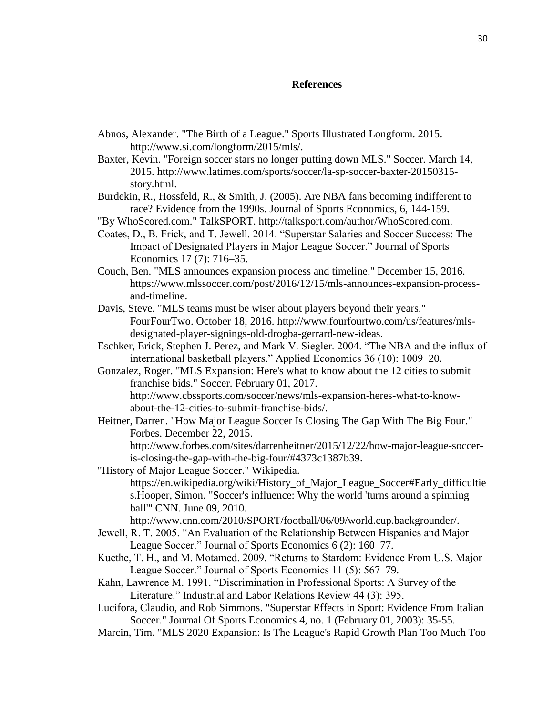#### **References**

- Abnos, Alexander. "The Birth of a League." Sports Illustrated Longform. 2015. http://www.si.com/longform/2015/mls/.
- Baxter, Kevin. "Foreign soccer stars no longer putting down MLS." Soccer. March 14, 2015. http://www.latimes.com/sports/soccer/la-sp-soccer-baxter-20150315 story.html.
- Burdekin, R., Hossfeld, R., & Smith, J. (2005). Are NBA fans becoming indifferent to race? Evidence from the 1990s. Journal of Sports Economics, 6, 144-159.
- "By WhoScored.com." TalkSPORT. http://talksport.com/author/WhoScored.com.
- Coates, D., B. Frick, and T. Jewell. 2014. "Superstar Salaries and Soccer Success: The Impact of Designated Players in Major League Soccer." Journal of Sports Economics 17 (7): 716–35.
- Couch, Ben. "MLS announces expansion process and timeline." December 15, 2016. https://www.mlssoccer.com/post/2016/12/15/mls-announces-expansion-processand-timeline.
- Davis, Steve. "MLS teams must be wiser about players beyond their years." FourFourTwo. October 18, 2016. http://www.fourfourtwo.com/us/features/mlsdesignated-player-signings-old-drogba-gerrard-new-ideas.
- Eschker, Erick, Stephen J. Perez, and Mark V. Siegler. 2004. "The NBA and the influx of international basketball players." Applied Economics 36 (10): 1009–20.
- Gonzalez, Roger. "MLS Expansion: Here's what to know about the 12 cities to submit franchise bids." Soccer. February 01, 2017. http://www.cbssports.com/soccer/news/mls-expansion-heres-what-to-knowabout-the-12-cities-to-submit-franchise-bids/.
- Heitner, Darren. "How Major League Soccer Is Closing The Gap With The Big Four." Forbes. December 22, 2015. http://www.forbes.com/sites/darrenheitner/2015/12/22/how-major-league-socceris-closing-the-gap-with-the-big-four/#4373c1387b39.
- "History of Major League Soccer." Wikipedia. https://en.wikipedia.org/wiki/History\_of\_Major\_League\_Soccer#Early\_difficultie s.Hooper, Simon. "Soccer's influence: Why the world 'turns around a spinning ball'" CNN. June 09, 2010. http://www.cnn.com/2010/SPORT/football/06/09/world.cup.backgrounder/.
- Jewell, R. T. 2005. "An Evaluation of the Relationship Between Hispanics and Major League Soccer." Journal of Sports Economics 6 (2): 160–77.
- Kuethe, T. H., and M. Motamed. 2009. "Returns to Stardom: Evidence From U.S. Major League Soccer." Journal of Sports Economics 11 (5): 567–79.
- Kahn, Lawrence M. 1991. "Discrimination in Professional Sports: A Survey of the Literature." Industrial and Labor Relations Review 44 (3): 395.
- Lucifora, Claudio, and Rob Simmons. "Superstar Effects in Sport: Evidence From Italian Soccer." Journal Of Sports Economics 4, no. 1 (February 01, 2003): 35-55.
- Marcin, Tim. "MLS 2020 Expansion: Is The League's Rapid Growth Plan Too Much Too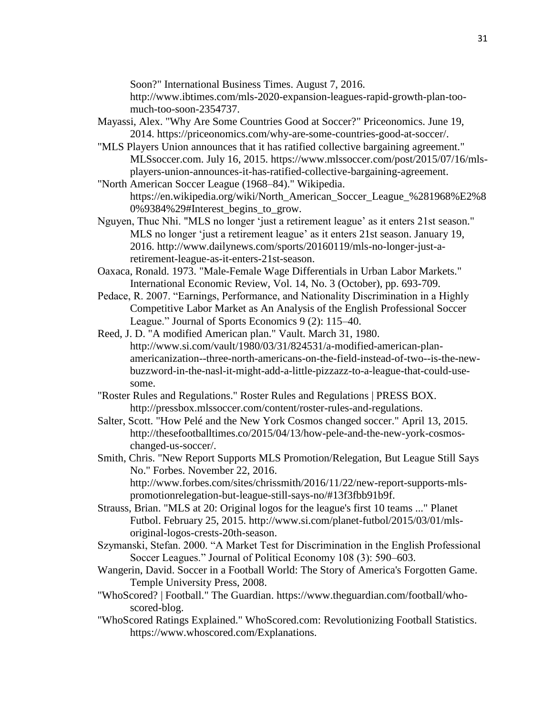Soon?" International Business Times. August 7, 2016.

http://www.ibtimes.com/mls-2020-expansion-leagues-rapid-growth-plan-toomuch-too-soon-2354737.

- Mayassi, Alex. "Why Are Some Countries Good at Soccer?" Priceonomics. June 19, 2014. https://priceonomics.com/why-are-some-countries-good-at-soccer/.
- "MLS Players Union announces that it has ratified collective bargaining agreement." MLSsoccer.com. July 16, 2015. https://www.mlssoccer.com/post/2015/07/16/mlsplayers-union-announces-it-has-ratified-collective-bargaining-agreement.
- "North American Soccer League (1968–84)." Wikipedia. https://en.wikipedia.org/wiki/North\_American\_Soccer\_League\_%281968%E2%8 0%9384%29#Interest\_begins\_to\_grow.
- Nguyen, Thuc Nhi. "MLS no longer 'just a retirement league' as it enters 21st season." MLS no longer 'just a retirement league' as it enters 21st season. January 19, 2016. http://www.dailynews.com/sports/20160119/mls-no-longer-just-aretirement-league-as-it-enters-21st-season.
- Oaxaca, Ronald. 1973. "Male-Female Wage Differentials in Urban Labor Markets." International Economic Review, Vol. 14, No. 3 (October), pp. 693-709.
- Pedace, R. 2007. "Earnings, Performance, and Nationality Discrimination in a Highly Competitive Labor Market as An Analysis of the English Professional Soccer League." Journal of Sports Economics 9 (2): 115–40.
- Reed, J. D. "A modified American plan." Vault. March 31, 1980. http://www.si.com/vault/1980/03/31/824531/a-modified-american-planamericanization--three-north-americans-on-the-field-instead-of-two--is-the-newbuzzword-in-the-nasl-it-might-add-a-little-pizzazz-to-a-league-that-could-usesome.
- "Roster Rules and Regulations." Roster Rules and Regulations | PRESS BOX. http://pressbox.mlssoccer.com/content/roster-rules-and-regulations.
- Salter, Scott. "How Pelé and the New York Cosmos changed soccer." April 13, 2015. http://thesefootballtimes.co/2015/04/13/how-pele-and-the-new-york-cosmoschanged-us-soccer/.
- Smith, Chris. "New Report Supports MLS Promotion/Relegation, But League Still Says No." Forbes. November 22, 2016. http://www.forbes.com/sites/chrissmith/2016/11/22/new-report-supports-mlspromotionrelegation-but-league-still-says-no/#13f3fbb91b9f.
- Strauss, Brian. "MLS at 20: Original logos for the league's first 10 teams ..." Planet Futbol. February 25, 2015. http://www.si.com/planet-futbol/2015/03/01/mlsoriginal-logos-crests-20th-season.
- Szymanski, Stefan. 2000. "A Market Test for Discrimination in the English Professional Soccer Leagues." Journal of Political Economy 108 (3): 590–603.
- Wangerin, David. Soccer in a Football World: The Story of America's Forgotten Game. Temple University Press, 2008.
- "WhoScored? | Football." The Guardian. https://www.theguardian.com/football/whoscored-blog.
- "WhoScored Ratings Explained." WhoScored.com: Revolutionizing Football Statistics. https://www.whoscored.com/Explanations.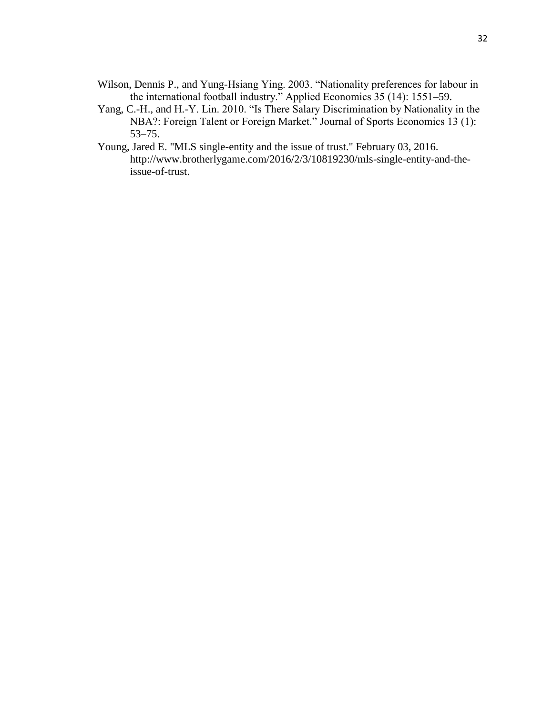- Wilson, Dennis P., and Yung-Hsiang Ying. 2003. "Nationality preferences for labour in the international football industry." Applied Economics 35 (14): 1551–59.
- Yang, C.-H., and H.-Y. Lin. 2010. "Is There Salary Discrimination by Nationality in the NBA?: Foreign Talent or Foreign Market." Journal of Sports Economics 13 (1): 53–75.
- Young, Jared E. "MLS single-entity and the issue of trust." February 03, 2016. http://www.brotherlygame.com/2016/2/3/10819230/mls-single-entity-and-theissue-of-trust.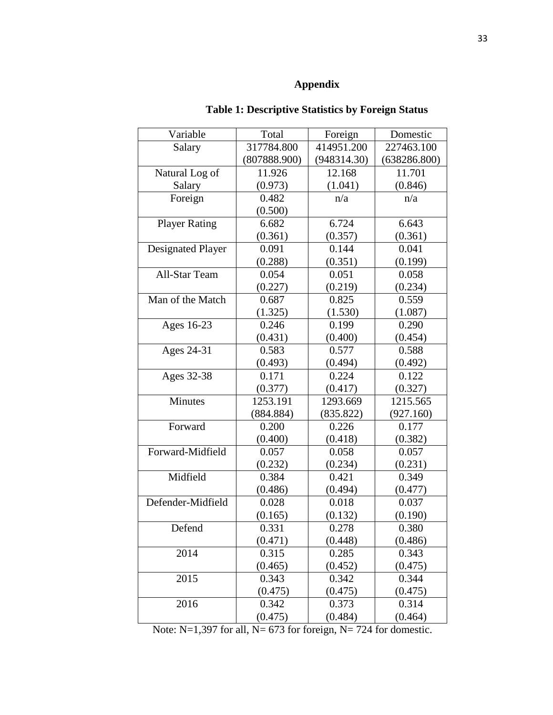#### **Appendix**

#### Variable | Total | Foreign | Domestic Salary 1317784.800 (807888.900) 414951.200 (948314.30) 227463.100 (638286.800) Natural Log of Salary 11.926 (0.973) 12.168 (1.041) 11.701 (0.846) Foreign  $0.482$ (0.500) n/a n/a Player Rating | 6.682 (0.361) 6.724 (0.357) 6.643 (0.361) Designated Player 0.091 (0.288) 0.144 (0.351) 0.041 (0.199) All-Star Team 0.054 (0.227) 0.051 (0.219) 0.058 (0.234) Man of the Match  $\vert$  0.687 (1.325) 0.825 (1.530) 0.559 (1.087) Ages 16-23 0.246 (0.431) 0.199 (0.400) 0.290 (0.454) Ages 24-31 0.583 (0.493) 0.577 (0.494) 0.588 (0.492) Ages 32-38 0.171 (0.377) 0.224 (0.417) 0.122 (0.327) Minutes 1253.191 (884.884) 1293.669 (835.822) 1215.565 (927.160) Forward 0.200 (0.400) 0.226 (0.418) 0.177 (0.382) Forward-Midfield 0.057 (0.232) 0.058 (0.234) 0.057 (0.231) Midfield 0.384 (0.486) 0.421 (0.494) 0.349 (0.477) Defender-Midfield 0.028 (0.165) 0.018 (0.132) 0.037 (0.190) Defend 0.331 (0.471) 0.278 (0.448) 0.380 (0.486) 2014 0.315 (0.465) 0.285 (0.452) 0.343 (0.475) 2015 0.343 (0.475) 0.342 (0.475) 0.344 (0.475) 2016 0.342 (0.475) 0.373 (0.484) 0.314  $(0.464)$

#### **Table 1: Descriptive Statistics by Foreign Status**

Note: N=1,397 for all, N= 673 for foreign, N= 724 for domestic.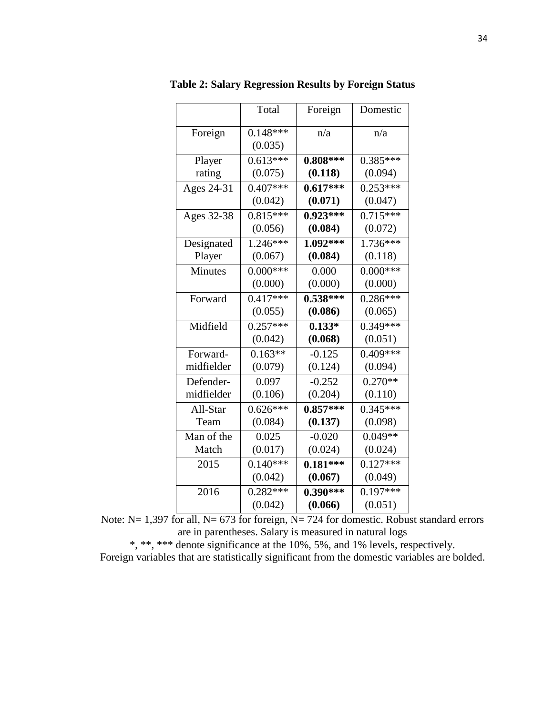|            | Total      | Foreign    | Domestic              |
|------------|------------|------------|-----------------------|
| Foreign    | $0.148***$ | n/a        | n/a                   |
|            | (0.035)    |            |                       |
| Player     | $0.613***$ | $0.808***$ | $0.385***$            |
| rating     | (0.075)    | (0.118)    | (0.094)               |
| Ages 24-31 | $0.407***$ | $0.617***$ | $0.253***$            |
|            | (0.042)    | (0.071)    | (0.047)               |
| Ages 32-38 | $0.815***$ | $0.923***$ | $0.715***$            |
|            | (0.056)    | (0.084)    | (0.072)               |
| Designated | $1.246***$ | $1.092***$ | $1.736***$            |
| Player     | (0.067)    | (0.084)    | (0.118)               |
| Minutes    | $0.000***$ | 0.000      | $0.000***$            |
|            | (0.000)    | (0.000)    | (0.000)               |
| Forward    | $0.417***$ | $0.538***$ | $0.286***$            |
|            | (0.055)    | (0.086)    | (0.065)               |
| Midfield   | $0.257***$ | $0.133*$   | $0.\overline{349***}$ |
|            | (0.042)    | (0.068)    | (0.051)               |
| Forward-   | $0.163**$  | $-0.125$   | $0.409***$            |
| midfielder | (0.079)    | (0.124)    | (0.094)               |
| Defender-  | 0.097      | $-0.252$   | $0.270**$             |
| midfielder | (0.106)    | (0.204)    | (0.110)               |
| All-Star   | $0.626***$ | $0.857***$ | $0.345***$            |
| Team       | (0.084)    | (0.137)    | (0.098)               |
| Man of the | 0.025      | $-0.020$   | $0.049**$             |
| Match      | (0.017)    | (0.024)    | (0.024)               |
| 2015       | $0.140***$ | $0.181***$ | $0.127***$            |
|            | (0.042)    | (0.067)    | (0.049)               |
| 2016       | $0.282***$ | $0.390***$ | $0.197***$            |
|            | (0.042)    | (0.066)    | (0.051)               |

**Table 2: Salary Regression Results by Foreign Status**

Note: N= 1,397 for all, N= 673 for foreign, N= 724 for domestic. Robust standard errors are in parentheses. Salary is measured in natural logs

\*, \*\*, \*\*\* denote significance at the 10%, 5%, and 1% levels, respectively. Foreign variables that are statistically significant from the domestic variables are bolded.